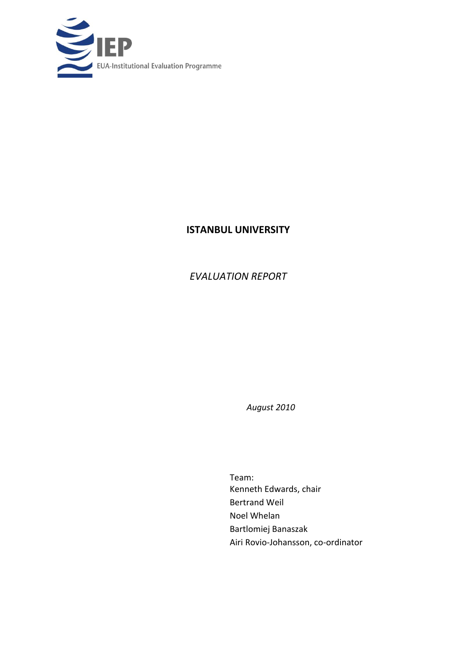

# **ISTANBUL UNIVERSITY**

# *EVALUATION REPORT*

*August 2010*

Team: Kenneth Edwards, chair Bertrand Weil Noel Whelan Bartlomiej Banaszak Airi Rovio-Johansson, co-ordinator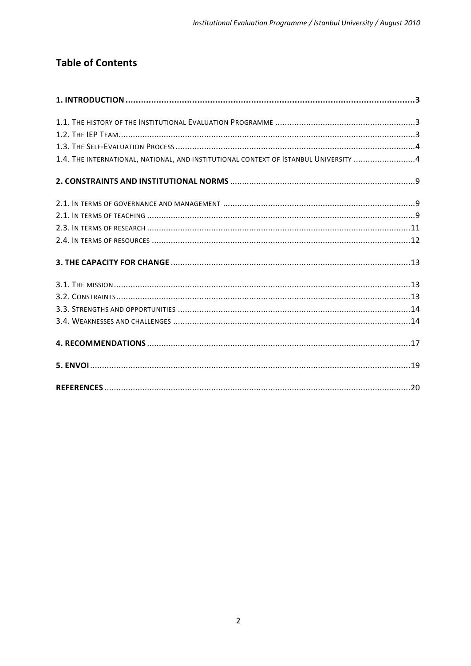# **Table of Contents**

<span id="page-1-0"></span>

| 1.4. THE INTERNATIONAL, NATIONAL, AND INSTITUTIONAL CONTEXT OF ISTANBUL UNIVERSITY 4 |  |
|--------------------------------------------------------------------------------------|--|
|                                                                                      |  |
|                                                                                      |  |
|                                                                                      |  |
|                                                                                      |  |
|                                                                                      |  |
|                                                                                      |  |
|                                                                                      |  |
|                                                                                      |  |
|                                                                                      |  |
|                                                                                      |  |
|                                                                                      |  |
|                                                                                      |  |
|                                                                                      |  |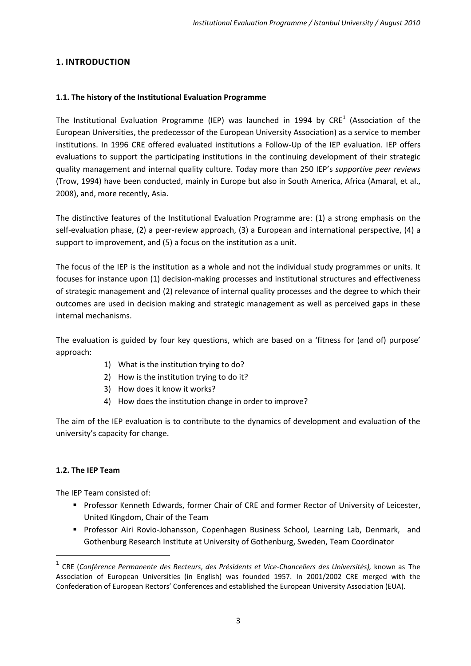# **1. INTRODUCTION**

## <span id="page-2-0"></span>**1.1. The history of the Institutional Evaluation Programme**

The Institutional Evaluation Programme (IEP) was launched in 1994 by  $\text{CRE}^1$  (Association of the European Universities, the predecessor of the European University Association) as a service to member institutions. In 1996 CRE offered evaluated institutions a Follow-Up of the IEP evaluation. IEP offers evaluations to support the participating institutions in the continuing development of their strategic quality management and internal quality culture. Today more than 250 IEP's *supportive peer reviews* (Trow, 1994) have been conducted, mainly in Europe but also in South America, Africa (Amaral, et al., 2008), and, more recently, Asia.

The distinctive features of the Institutional Evaluation Programme are: (1) a strong emphasis on the self-evaluation phase, (2) a peer-review approach, (3) a European and international perspective, (4) a support to improvement, and (5) a focus on the institution as a unit.

The focus of the IEP is the institution as a whole and not the individual study programmes or units. It focuses for instance upon (1) decision-making processes and institutional structures and effectiveness of strategic management and (2) relevance of internal quality processes and the degree to which their outcomes are used in decision making and strategic management as well as perceived gaps in these internal mechanisms.

The evaluation is guided by four key questions, which are based on a 'fitness for (and of) purpose' approach:

- 1) What is the institution trying to do?
- 2) How is the institution trying to do it?
- 3) How does it know it works?
- 4) How does the institution change in order to improve?

The aim of the IEP evaluation is to contribute to the dynamics of development and evaluation of the university's capacity for change.

## <span id="page-2-1"></span>**1.2. The IEP Team**

1

The IEP Team consisted of:

- **Professor Kenneth Edwards, former Chair of CRE and former Rector of University of Leicester,** United Kingdom, Chair of the Team
- Professor Airi Rovio-Johansson, Copenhagen Business School, Learning Lab, Denmark, and Gothenburg Research Institute at University of Gothenburg, Sweden, Team Coordinator

<sup>1</sup> CRE (*Conférence Permanente des Recteurs*, *des Présidents et Vice-Chanceliers des Universités),* known as The Association of European Universities (in English) was founded 1957. In 2001/2002 CRE merged with the Confederation of European Rectors' Conferences and established the European University Association (EUA).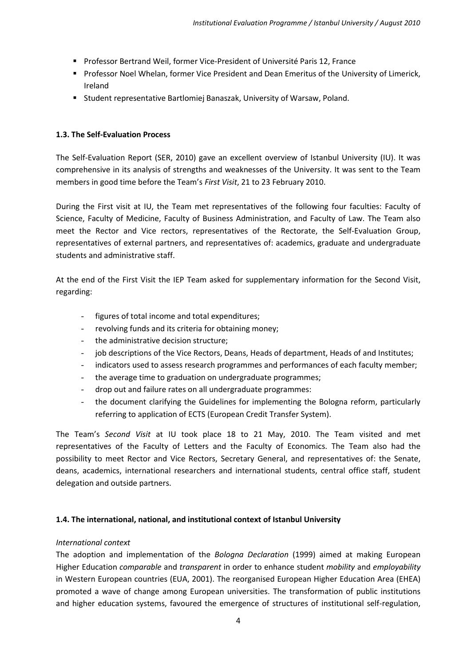- **Professor Bertrand Weil, former Vice-President of Université Paris 12, France**
- **Professor Noel Whelan, former Vice President and Dean Emeritus of the University of Limerick,** Ireland
- **E** Student representative Bartlomiej Banaszak, University of Warsaw, Poland.

## <span id="page-3-0"></span>**1.3. The Self-Evaluation Process**

The Self-Evaluation Report (SER, 2010) gave an excellent overview of Istanbul University (IU). It was comprehensive in its analysis of strengths and weaknesses of the University. It was sent to the Team members in good time before the Team's *First Visit*, 21 to 23 February 2010.

During the First visit at IU, the Team met representatives of the following four faculties: Faculty of Science, Faculty of Medicine, Faculty of Business Administration, and Faculty of Law. The Team also meet the Rector and Vice rectors, representatives of the Rectorate, the Self-Evaluation Group, representatives of external partners, and representatives of: academics, graduate and undergraduate students and administrative staff.

At the end of the First Visit the IEP Team asked for supplementary information for the Second Visit, regarding:

- figures of total income and total expenditures;
- revolving funds and its criteria for obtaining money;
- the administrative decision structure;
- job descriptions of the Vice Rectors, Deans, Heads of department, Heads of and Institutes;
- indicators used to assess research programmes and performances of each faculty member;
- the average time to graduation on undergraduate programmes;
- drop out and failure rates on all undergraduate programmes:
- the document clarifying the Guidelines for implementing the Bologna reform, particularly referring to application of ECTS (European Credit Transfer System).

The Team's *Second Visit* at IU took place 18 to 21 May, 2010. The Team visited and met representatives of the Faculty of Letters and the Faculty of Economics. The Team also had the possibility to meet Rector and Vice Rectors, Secretary General, and representatives of: the Senate, deans, academics, international researchers and international students, central office staff, student delegation and outside partners.

## <span id="page-3-1"></span>**1.4. The international, national, and institutional context of Istanbul University**

## *International context*

The adoption and implementation of the *Bologna Declaration* (1999) aimed at making European Higher Education *comparable* and *transparent* in order to enhance student *mobility* and *employability* in Western European countries (EUA, 2001). The reorganised European Higher Education Area (EHEA) promoted a wave of change among European universities. The transformation of public institutions and higher education systems, favoured the emergence of structures of institutional self-regulation,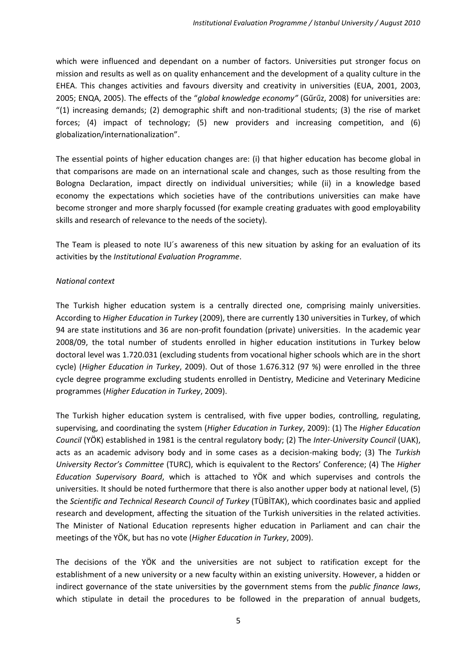which were influenced and dependant on a number of factors. Universities put stronger focus on mission and results as well as on quality enhancement and the development of a quality culture in the EHEA. This changes activities and favours diversity and creativity in universities (EUA, 2001, 2003, 2005; ENQA, 2005). The effects of the "*global knowledge economy"* (Gűrűz, 2008) for universities are: "(1) increasing demands; (2) demographic shift and non-traditional students; (3) the rise of market forces; (4) impact of technology; (5) new providers and increasing competition, and (6) globalization/internationalization".

The essential points of higher education changes are: (i) that higher education has become global in that comparisons are made on an international scale and changes, such as those resulting from the Bologna Declaration, impact directly on individual universities; while (ii) in a knowledge based economy the expectations which societies have of the contributions universities can make have become stronger and more sharply focussed (for example creating graduates with good employability skills and research of relevance to the needs of the society).

The Team is pleased to note IU´s awareness of this new situation by asking for an evaluation of its activities by the *Institutional Evaluation Programme*.

## *National context*

The Turkish higher education system is a centrally directed one, comprising mainly universities. According to *Higher Education in Turkey* (2009), there are currently 130 universities in Turkey, of which 94 are state institutions and 36 are non-profit foundation (private) universities. In the academic year 2008/09, the total number of students enrolled in higher education institutions in Turkey below doctoral level was 1.720.031 (excluding students from vocational higher schools which are in the short cycle) (*Higher Education in Turkey*, 2009). Out of those 1.676.312 (97 %) were enrolled in the three cycle degree programme excluding students enrolled in Dentistry, Medicine and Veterinary Medicine programmes (*Higher Education in Turkey*, 2009).

The Turkish higher education system is centralised, with five upper bodies, controlling, regulating, supervising, and coordinating the system (*Higher Education in Turkey*, 2009): (1) The *Higher Education Council* (YÖK) established in 1981 is the central regulatory body; (2) The *Inter-University Council* (UAK), acts as an academic advisory body and in some cases as a decision-making body; (3) The *Turkish University Rector's Committee* (TURC), which is equivalent to the Rectors' Conference; (4) The *Higher Education Supervisory Board*, which is attached to YÖK and which supervises and controls the universities. It should be noted furthermore that there is also another upper body at national level, (5) the *Scientific and Technical Research Council of Turkey* (TÜBİTAK), which coordinates basic and applied research and development, affecting the situation of the Turkish universities in the related activities. The Minister of National Education represents higher education in Parliament and can chair the meetings of the YÖK, but has no vote (*Higher Education in Turkey*, 2009).

The decisions of the YÖK and the universities are not subject to ratification except for the establishment of a new university or a new faculty within an existing university. However, a hidden or indirect governance of the state universities by the government stems from the *public finance laws*, which stipulate in detail the procedures to be followed in the preparation of annual budgets,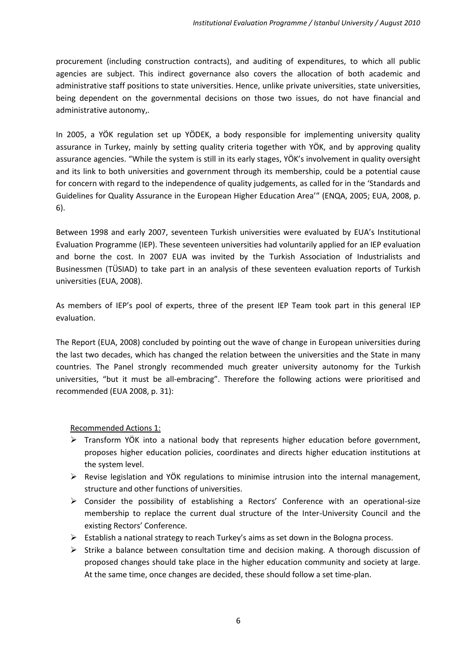procurement (including construction contracts), and auditing of expenditures, to which all public agencies are subject. This indirect governance also covers the allocation of both academic and administrative staff positions to state universities. Hence, unlike private universities, state universities, being dependent on the governmental decisions on those two issues, do not have financial and administrative autonomy,.

In 2005, a YÖK regulation set up YÖDEK, a body responsible for implementing university quality assurance in Turkey, mainly by setting quality criteria together with YÖK, and by approving quality assurance agencies. "While the system is still in its early stages, YÖK's involvement in quality oversight and its link to both universities and government through its membership, could be a potential cause for concern with regard to the independence of quality judgements, as called for in the 'Standards and Guidelines for Quality Assurance in the European Higher Education Area'" (ENQA, 2005; EUA, 2008, p. 6).

Between 1998 and early 2007, seventeen Turkish universities were evaluated by EUA's Institutional Evaluation Programme (IEP). These seventeen universities had voluntarily applied for an IEP evaluation and borne the cost. In 2007 EUA was invited by the Turkish Association of Industrialists and Businessmen (TÜSIAD) to take part in an analysis of these seventeen evaluation reports of Turkish universities (EUA, 2008).

As members of IEP's pool of experts, three of the present IEP Team took part in this general IEP evaluation.

The Report (EUA, 2008) concluded by pointing out the wave of change in European universities during the last two decades, which has changed the relation between the universities and the State in many countries. The Panel strongly recommended much greater university autonomy for the Turkish universities, "but it must be all-embracing". Therefore the following actions were prioritised and recommended (EUA 2008, p. 31):

Recommended Actions 1:

- $\triangleright$  Transform YÖK into a national body that represents higher education before government, proposes higher education policies, coordinates and directs higher education institutions at the system level.
- $\triangleright$  Revise legislation and YÖK regulations to minimise intrusion into the internal management, structure and other functions of universities.
- $\triangleright$  Consider the possibility of establishing a Rectors' Conference with an operational-size membership to replace the current dual structure of the Inter-University Council and the existing Rectors' Conference.
- $\triangleright$  Establish a national strategy to reach Turkey's aims as set down in the Bologna process.
- $\triangleright$  Strike a balance between consultation time and decision making. A thorough discussion of proposed changes should take place in the higher education community and society at large. At the same time, once changes are decided, these should follow a set time-plan.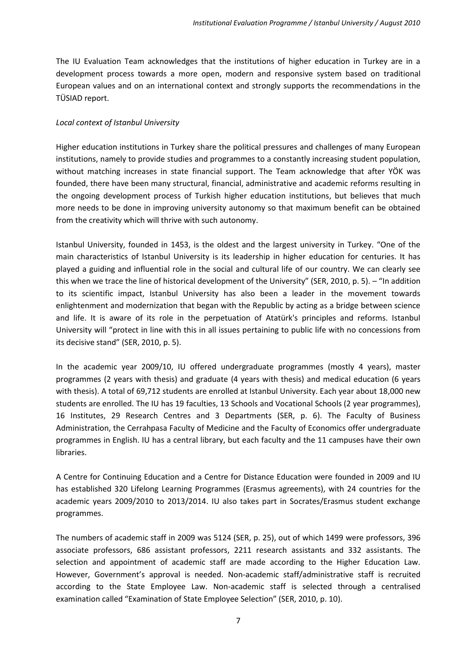The IU Evaluation Team acknowledges that the institutions of higher education in Turkey are in a development process towards a more open, modern and responsive system based on traditional European values and on an international context and strongly supports the recommendations in the TÜSIAD report.

## *Local context of Istanbul University*

Higher education institutions in Turkey share the political pressures and challenges of many European institutions, namely to provide studies and programmes to a constantly increasing student population, without matching increases in state financial support. The Team acknowledge that after YÖK was founded, there have been many structural, financial, administrative and academic reforms resulting in the ongoing development process of Turkish higher education institutions, but believes that much more needs to be done in improving university autonomy so that maximum benefit can be obtained from the creativity which will thrive with such autonomy.

Istanbul University, founded in 1453, is the oldest and the largest university in Turkey. "One of the main characteristics of Istanbul University is its leadership in higher education for centuries. It has played a guiding and influential role in the social and cultural life of our country. We can clearly see this when we trace the line of historical development of the University" (SER, 2010, p. 5). – "In addition to its scientific impact, Istanbul University has also been a leader in the movement towards enlightenment and modernization that began with the Republic by acting as a bridge between science and life. It is aware of its role in the perpetuation of Atatürk's principles and reforms. Istanbul University will "protect in line with this in all issues pertaining to public life with no concessions from its decisive stand" (SER, 2010, p. 5).

In the academic year 2009/10, IU offered undergraduate programmes (mostly 4 years), master programmes (2 years with thesis) and graduate (4 years with thesis) and medical education (6 years with thesis). A total of 69,712 students are enrolled at Istanbul University. Each year about 18,000 new students are enrolled. The IU has 19 faculties, 13 Schools and Vocational Schools (2 year programmes), 16 Institutes, 29 Research Centres and 3 Departments (SER, p. 6). The Faculty of Business Administration, the Cerrahpasa Faculty of Medicine and the Faculty of Economics offer undergraduate programmes in English. IU has a central library, but each faculty and the 11 campuses have their own libraries.

A Centre for Continuing Education and a Centre for Distance Education were founded in 2009 and IU has established 320 Lifelong Learning Programmes (Erasmus agreements), with 24 countries for the academic years 2009/2010 to 2013/2014. IU also takes part in Socrates/Erasmus student exchange programmes.

The numbers of academic staff in 2009 was 5124 (SER, p. 25), out of which 1499 were professors, 396 associate professors, 686 assistant professors, 2211 research assistants and 332 assistants. The selection and appointment of academic staff are made according to the Higher Education Law. However, Government's approval is needed. Non-academic staff/administrative staff is recruited according to the State Employee Law. Non-academic staff is selected through a centralised examination called "Examination of State Employee Selection" (SER, 2010, p. 10).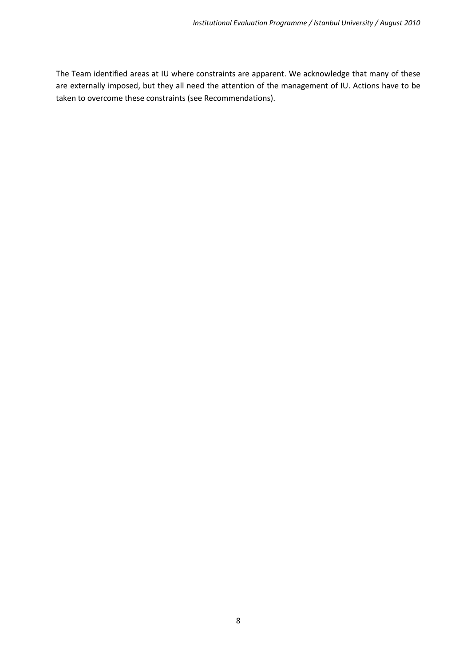<span id="page-7-0"></span>The Team identified areas at IU where constraints are apparent. We acknowledge that many of these are externally imposed, but they all need the attention of the management of IU. Actions have to be taken to overcome these constraints (see Recommendations).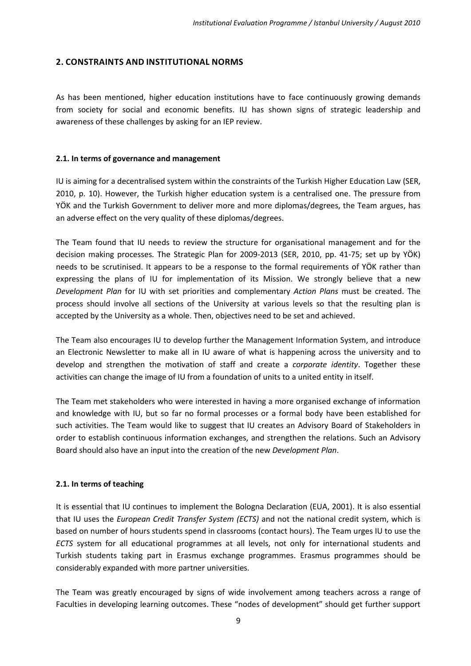## **2. CONSTRAINTS AND INSTITUTIONAL NORMS**

As has been mentioned, higher education institutions have to face continuously growing demands from society for social and economic benefits. IU has shown signs of strategic leadership and awareness of these challenges by asking for an IEP review.

#### <span id="page-8-0"></span>**2.1. In terms of governance and management**

IU is aiming for a decentralised system within the constraints of the Turkish Higher Education Law (SER, 2010, p. 10). However, the Turkish higher education system is a centralised one. The pressure from YÖK and the Turkish Government to deliver more and more diplomas/degrees, the Team argues, has an adverse effect on the very quality of these diplomas/degrees.

The Team found that IU needs to review the structure for organisational management and for the decision making processes. The Strategic Plan for 2009-2013 (SER, 2010, pp. 41-75; set up by YÖK) needs to be scrutinised. It appears to be a response to the formal requirements of YÖK rather than expressing the plans of IU for implementation of its Mission. We strongly believe that a new *Development Plan* for IU with set priorities and complementary *Action Plans* must be created. The process should involve all sections of the University at various levels so that the resulting plan is accepted by the University as a whole. Then, objectives need to be set and achieved.

The Team also encourages IU to develop further the Management Information System, and introduce an Electronic Newsletter to make all in IU aware of what is happening across the university and to develop and strengthen the motivation of staff and create a *corporate identity*. Together these activities can change the image of IU from a foundation of units to a united entity in itself.

The Team met stakeholders who were interested in having a more organised exchange of information and knowledge with IU, but so far no formal processes or a formal body have been established for such activities. The Team would like to suggest that IU creates an Advisory Board of Stakeholders in order to establish continuous information exchanges, and strengthen the relations. Such an Advisory Board should also have an input into the creation of the new *Development Plan*.

## <span id="page-8-1"></span>**2.1. In terms of teaching**

It is essential that IU continues to implement the Bologna Declaration (EUA, 2001). It is also essential that IU uses the *European Credit Transfer System (ECTS)* and not the national credit system, which is based on number of hours students spend in classrooms (contact hours). The Team urges IU to use the *ECTS* system for all educational programmes at all levels, not only for international students and Turkish students taking part in Erasmus exchange programmes. Erasmus programmes should be considerably expanded with more partner universities.

The Team was greatly encouraged by signs of wide involvement among teachers across a range of Faculties in developing learning outcomes. These "nodes of development" should get further support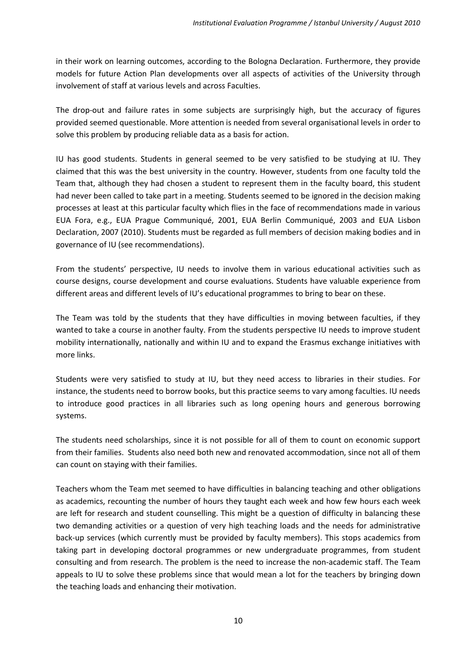in their work on learning outcomes, according to the Bologna Declaration. Furthermore, they provide models for future Action Plan developments over all aspects of activities of the University through involvement of staff at various levels and across Faculties.

The drop-out and failure rates in some subjects are surprisingly high, but the accuracy of figures provided seemed questionable. More attention is needed from several organisational levels in order to solve this problem by producing reliable data as a basis for action.

IU has good students. Students in general seemed to be very satisfied to be studying at IU. They claimed that this was the best university in the country. However, students from one faculty told the Team that, although they had chosen a student to represent them in the faculty board, this student had never been called to take part in a meeting. Students seemed to be ignored in the decision making processes at least at this particular faculty which flies in the face of recommendations made in various EUA Fora, e.g., EUA Prague Communiqué, 2001, EUA Berlin Communiqué, 2003 and EUA Lisbon Declaration, 2007 (2010). Students must be regarded as full members of decision making bodies and in governance of IU (see recommendations).

From the students' perspective, IU needs to involve them in various educational activities such as course designs, course development and course evaluations. Students have valuable experience from different areas and different levels of IU's educational programmes to bring to bear on these.

The Team was told by the students that they have difficulties in moving between faculties, if they wanted to take a course in another faulty. From the students perspective IU needs to improve student mobility internationally, nationally and within IU and to expand the Erasmus exchange initiatives with more links.

Students were very satisfied to study at IU, but they need access to libraries in their studies. For instance, the students need to borrow books, but this practice seems to vary among faculties. IU needs to introduce good practices in all libraries such as long opening hours and generous borrowing systems.

The students need scholarships, since it is not possible for all of them to count on economic support from their families. Students also need both new and renovated accommodation, since not all of them can count on staying with their families.

Teachers whom the Team met seemed to have difficulties in balancing teaching and other obligations as academics, recounting the number of hours they taught each week and how few hours each week are left for research and student counselling. This might be a question of difficulty in balancing these two demanding activities or a question of very high teaching loads and the needs for administrative back-up services (which currently must be provided by faculty members). This stops academics from taking part in developing doctoral programmes or new undergraduate programmes, from student consulting and from research. The problem is the need to increase the non-academic staff. The Team appeals to IU to solve these problems since that would mean a lot for the teachers by bringing down the teaching loads and enhancing their motivation.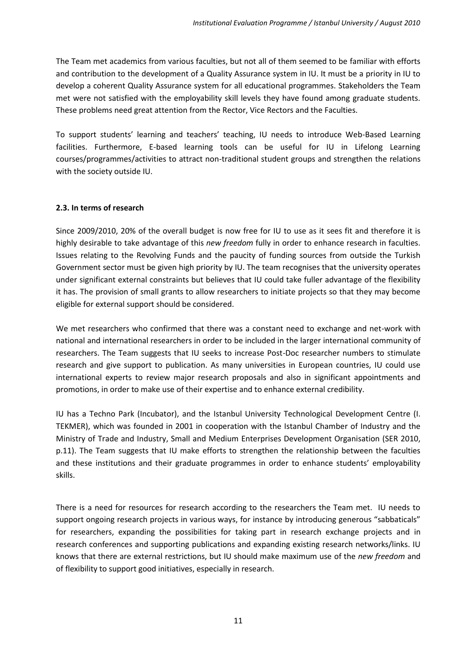The Team met academics from various faculties, but not all of them seemed to be familiar with efforts and contribution to the development of a Quality Assurance system in IU. It must be a priority in IU to develop a coherent Quality Assurance system for all educational programmes. Stakeholders the Team met were not satisfied with the employability skill levels they have found among graduate students. These problems need great attention from the Rector, Vice Rectors and the Faculties.

To support students' learning and teachers' teaching, IU needs to introduce Web-Based Learning facilities. Furthermore, E-based learning tools can be useful for IU in Lifelong Learning courses/programmes/activities to attract non-traditional student groups and strengthen the relations with the society outside IU.

# <span id="page-10-0"></span>**2.3. In terms of research**

Since 2009/2010, 20% of the overall budget is now free for IU to use as it sees fit and therefore it is highly desirable to take advantage of this *new freedom* fully in order to enhance research in faculties. Issues relating to the Revolving Funds and the paucity of funding sources from outside the Turkish Government sector must be given high priority by IU. The team recognises that the university operates under significant external constraints but believes that IU could take fuller advantage of the flexibility it has. The provision of small grants to allow researchers to initiate projects so that they may become eligible for external support should be considered.

We met researchers who confirmed that there was a constant need to exchange and net-work with national and international researchers in order to be included in the larger international community of researchers. The Team suggests that IU seeks to increase Post-Doc researcher numbers to stimulate research and give support to publication. As many universities in European countries, IU could use international experts to review major research proposals and also in significant appointments and promotions, in order to make use of their expertise and to enhance external credibility.

IU has a Techno Park (Incubator), and the Istanbul University Technological Development Centre (I. TEKMER), which was founded in 2001 in cooperation with the Istanbul Chamber of Industry and the Ministry of Trade and Industry, Small and Medium Enterprises Development Organisation (SER 2010, p.11). The Team suggests that IU make efforts to strengthen the relationship between the faculties and these institutions and their graduate programmes in order to enhance students' employability skills.

There is a need for resources for research according to the researchers the Team met. IU needs to support ongoing research projects in various ways, for instance by introducing generous "sabbaticals" for researchers, expanding the possibilities for taking part in research exchange projects and in research conferences and supporting publications and expanding existing research networks/links. IU knows that there are external restrictions, but IU should make maximum use of the *new freedom* and of flexibility to support good initiatives, especially in research.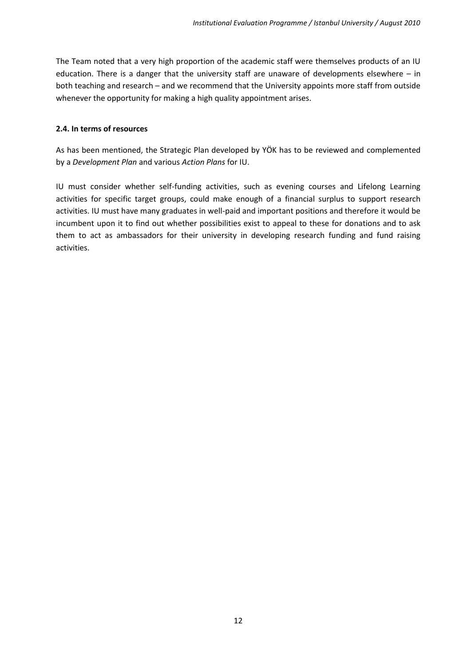The Team noted that a very high proportion of the academic staff were themselves products of an IU education. There is a danger that the university staff are unaware of developments elsewhere – in both teaching and research – and we recommend that the University appoints more staff from outside whenever the opportunity for making a high quality appointment arises.

#### <span id="page-11-0"></span>**2.4. In terms of resources**

As has been mentioned, the Strategic Plan developed by YÖK has to be reviewed and complemented by a *Development Plan* and various *Action Plans* for IU.

<span id="page-11-1"></span>IU must consider whether self-funding activities, such as evening courses and Lifelong Learning activities for specific target groups, could make enough of a financial surplus to support research activities. IU must have many graduates in well-paid and important positions and therefore it would be incumbent upon it to find out whether possibilities exist to appeal to these for donations and to ask them to act as ambassadors for their university in developing research funding and fund raising activities.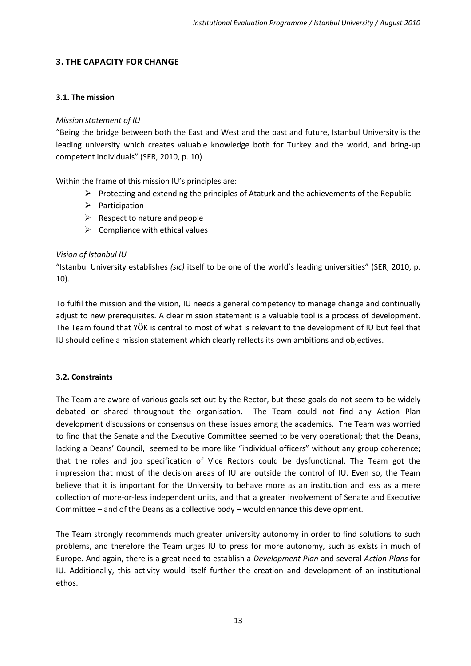# **3. THE CAPACITY FOR CHANGE**

## <span id="page-12-0"></span>**3.1. The mission**

## *Mission statement of IU*

"Being the bridge between both the East and West and the past and future, Istanbul University is the leading university which creates valuable knowledge both for Turkey and the world, and bring-up competent individuals" (SER, 2010, p. 10).

Within the frame of this mission IU's principles are:

- $\triangleright$  Protecting and extending the principles of Ataturk and the achievements of the Republic
- $\triangleright$  Participation
- $\triangleright$  Respect to nature and people
- $\triangleright$  Compliance with ethical values

## *Vision of Istanbul IU*

"Istanbul University establishes *(sic)* itself to be one of the world's leading universities" (SER, 2010, p. 10).

To fulfil the mission and the vision, IU needs a general competency to manage change and continually adjust to new prerequisites. A clear mission statement is a valuable tool is a process of development. The Team found that YÖK is central to most of what is relevant to the development of IU but feel that IU should define a mission statement which clearly reflects its own ambitions and objectives.

## <span id="page-12-1"></span>**3.2. Constraints**

The Team are aware of various goals set out by the Rector, but these goals do not seem to be widely debated or shared throughout the organisation. The Team could not find any Action Plan development discussions or consensus on these issues among the academics. The Team was worried to find that the Senate and the Executive Committee seemed to be very operational; that the Deans, lacking a Deans' Council, seemed to be more like "individual officers" without any group coherence; that the roles and job specification of Vice Rectors could be dysfunctional. The Team got the impression that most of the decision areas of IU are outside the control of IU. Even so, the Team believe that it is important for the University to behave more as an institution and less as a mere collection of more-or-less independent units, and that a greater involvement of Senate and Executive Committee – and of the Deans as a collective body – would enhance this development.

The Team strongly recommends much greater university autonomy in order to find solutions to such problems, and therefore the Team urges IU to press for more autonomy, such as exists in much of Europe. And again, there is a great need to establish a *Development Plan* and several *Action Plans* for IU. Additionally, this activity would itself further the creation and development of an institutional ethos.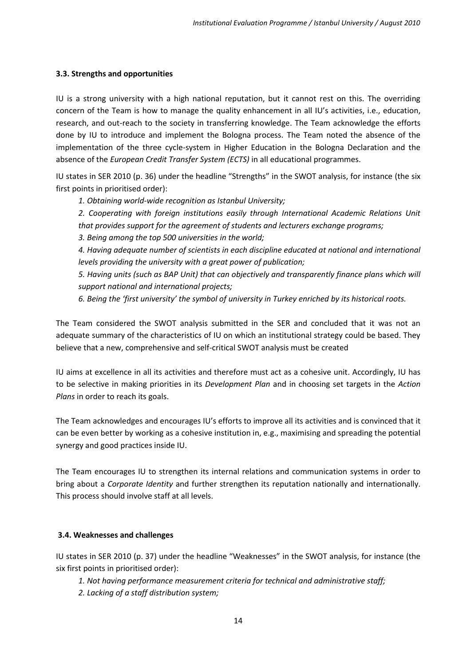## <span id="page-13-0"></span>**3.3. Strengths and opportunities**

IU is a strong university with a high national reputation, but it cannot rest on this. The overriding concern of the Team is how to manage the quality enhancement in all IU's activities, i.e., education, research, and out-reach to the society in transferring knowledge. The Team acknowledge the efforts done by IU to introduce and implement the Bologna process. The Team noted the absence of the implementation of the three cycle-system in Higher Education in the Bologna Declaration and the absence of the *European Credit Transfer System (ECTS)* in all educational programmes.

IU states in SER 2010 (p. 36) under the headline "Strengths" in the SWOT analysis, for instance (the six first points in prioritised order):

*1. Obtaining world-wide recognition as Istanbul University;* 

*2. Cooperating with foreign institutions easily through International Academic Relations Unit that provides support for the agreement of students and lecturers exchange programs;* 

*3. Being among the top 500 universities in the world;* 

*4. Having adequate number of scientists in each discipline educated at national and international levels providing the university with a great power of publication;*

*5. Having units (such as BAP Unit) that can objectively and transparently finance plans which will support national and international projects;*

*6. Being the 'first university' the symbol of university in Turkey enriched by its historical roots.*

The Team considered the SWOT analysis submitted in the SER and concluded that it was not an adequate summary of the characteristics of IU on which an institutional strategy could be based. They believe that a new, comprehensive and self-critical SWOT analysis must be created

IU aims at excellence in all its activities and therefore must act as a cohesive unit. Accordingly, IU has to be selective in making priorities in its *Development Plan* and in choosing set targets in the *Action Plans* in order to reach its goals.

The Team acknowledges and encourages IU's efforts to improve all its activities and is convinced that it can be even better by working as a cohesive institution in, e.g., maximising and spreading the potential synergy and good practices inside IU.

The Team encourages IU to strengthen its internal relations and communication systems in order to bring about a *Corporate Identity* and further strengthen its reputation nationally and internationally. This process should involve staff at all levels.

## <span id="page-13-1"></span>**3.4. Weaknesses and challenges**

IU states in SER 2010 (p. 37) under the headline "Weaknesses" in the SWOT analysis, for instance (the six first points in prioritised order):

*1. Not having performance measurement criteria for technical and administrative staff;* 

*2. Lacking of a staff distribution system;*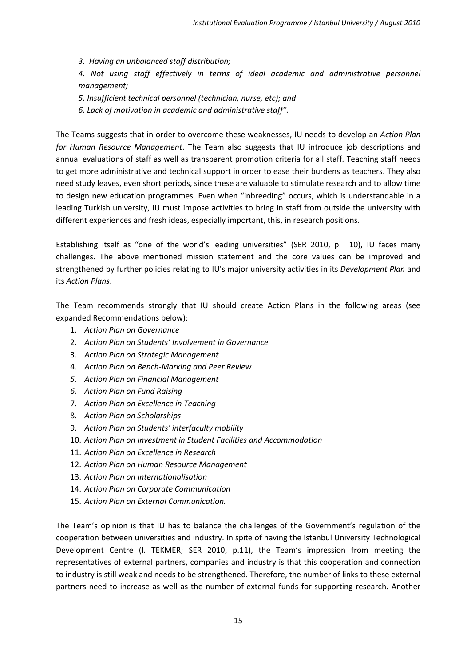*3. Having an unbalanced staff distribution;*

*4. Not using staff effectively in terms of ideal academic and administrative personnel management;* 

*5. Insufficient technical personnel (technician, nurse, etc); and* 

*6. Lack of motivation in academic and administrative staff".*

The Teams suggests that in order to overcome these weaknesses, IU needs to develop an *Action Plan for Human Resource Management*. The Team also suggests that IU introduce job descriptions and annual evaluations of staff as well as transparent promotion criteria for all staff. Teaching staff needs to get more administrative and technical support in order to ease their burdens as teachers. They also need study leaves, even short periods, since these are valuable to stimulate research and to allow time to design new education programmes. Even when "inbreeding" occurs, which is understandable in a leading Turkish university, IU must impose activities to bring in staff from outside the university with different experiences and fresh ideas, especially important, this, in research positions.

Establishing itself as "one of the world's leading universities" (SER 2010, p. 10), IU faces many challenges. The above mentioned mission statement and the core values can be improved and strengthened by further policies relating to IU's major university activities in its *Development Plan* and its *Action Plans*.

The Team recommends strongly that IU should create Action Plans in the following areas (see expanded Recommendations below):

- 1. *Action Plan on Governance*
- 2. *Action Plan on Students' Involvement in Governance*
- 3. *Action Plan on Strategic Management*
- 4. *Action Plan on Bench-Marking and Peer Review*
- *5. Action Plan on Financial Management*
- *6. Action Plan on Fund Raising*
- 7. *Action Plan on Excellence in Teaching*
- 8. *Action Plan on Scholarships*
- 9. *Action Plan on Students' interfaculty mobility*
- 10. *Action Plan on Investment in Student Facilities and Accommodation*
- 11. *Action Plan on Excellence in Research*
- 12. *Action Plan on Human Resource Management*
- 13. *Action Plan on Internationalisation*
- 14. *Action Plan on Corporate Communication*
- 15. *Action Plan on External Communication.*

The Team's opinion is that IU has to balance the challenges of the Government's regulation of the cooperation between universities and industry. In spite of having the Istanbul University Technological Development Centre (I. TEKMER; SER 2010, p.11), the Team's impression from meeting the representatives of external partners, companies and industry is that this cooperation and connection to industry is still weak and needs to be strengthened. Therefore, the number of links to these external partners need to increase as well as the number of external funds for supporting research. Another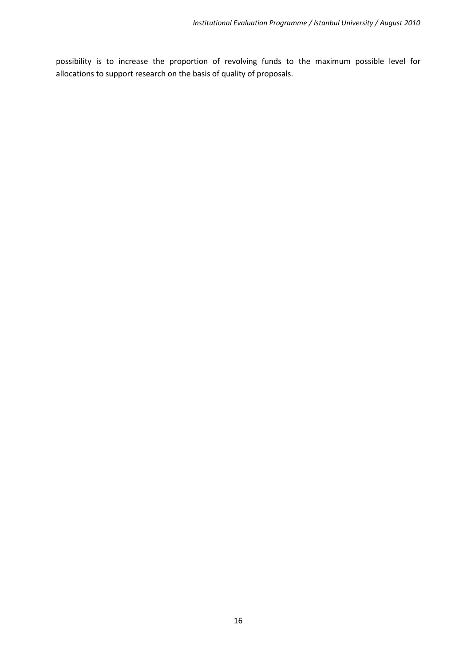<span id="page-15-0"></span>possibility is to increase the proportion of revolving funds to the maximum possible level for allocations to support research on the basis of quality of proposals.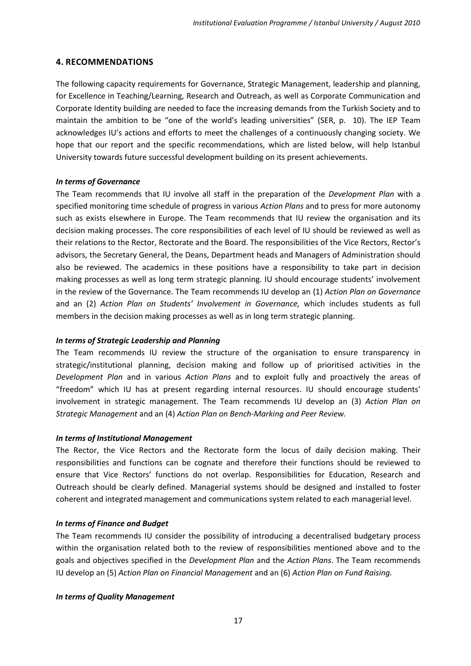## **4. RECOMMENDATIONS**

The following capacity requirements for Governance, Strategic Management, leadership and planning, for Excellence in Teaching/Learning, Research and Outreach, as well as Corporate Communication and Corporate Identity building are needed to face the increasing demands from the Turkish Society and to maintain the ambition to be "one of the world's leading universities" (SER, p. 10). The IEP Team acknowledges IU's actions and efforts to meet the challenges of a continuously changing society. We hope that our report and the specific recommendations, which are listed below, will help Istanbul University towards future successful development building on its present achievements.

#### *In terms of Governance*

The Team recommends that IU involve all staff in the preparation of the *Development Plan* with a specified monitoring time schedule of progress in various *Action Plans* and to press for more autonomy such as exists elsewhere in Europe. The Team recommends that IU review the organisation and its decision making processes. The core responsibilities of each level of IU should be reviewed as well as their relations to the Rector, Rectorate and the Board. The responsibilities of the Vice Rectors, Rector's advisors, the Secretary General, the Deans, Department heads and Managers of Administration should also be reviewed. The academics in these positions have a responsibility to take part in decision making processes as well as long term strategic planning. IU should encourage students' involvement in the review of the Governance. The Team recommends IU develop an (1) *Action Plan on Governance*  and an (2) *Action Plan on Students' Involvement in Governance,* which includes students as full members in the decision making processes as well as in long term strategic planning.

## *In terms of Strategic Leadership and Planning*

The Team recommends IU review the structure of the organisation to ensure transparency in strategic/institutional planning, decision making and follow up of prioritised activities in the *Development Plan* and in various *Action Plans* and to exploit fully and proactively the areas of "freedom" which IU has at present regarding internal resources. IU should encourage students' involvement in strategic management. The Team recommends IU develop an (3) *Action Plan on Strategic Management* and an (4) *Action Plan on Bench-Marking and Peer Review.* 

#### *In terms of Institutional Management*

The Rector, the Vice Rectors and the Rectorate form the locus of daily decision making. Their responsibilities and functions can be cognate and therefore their functions should be reviewed to ensure that Vice Rectors' functions do not overlap. Responsibilities for Education, Research and Outreach should be clearly defined. Managerial systems should be designed and installed to foster coherent and integrated management and communications system related to each managerial level.

#### *In terms of Finance and Budget*

The Team recommends IU consider the possibility of introducing a decentralised budgetary process within the organisation related both to the review of responsibilities mentioned above and to the goals and objectives specified in the *Development Plan* and the *Action Plans*. The Team recommends IU develop an (5) *Action Plan on Financial Management* and an (6) *Action Plan on Fund Raising.*

#### *In terms of Quality Management*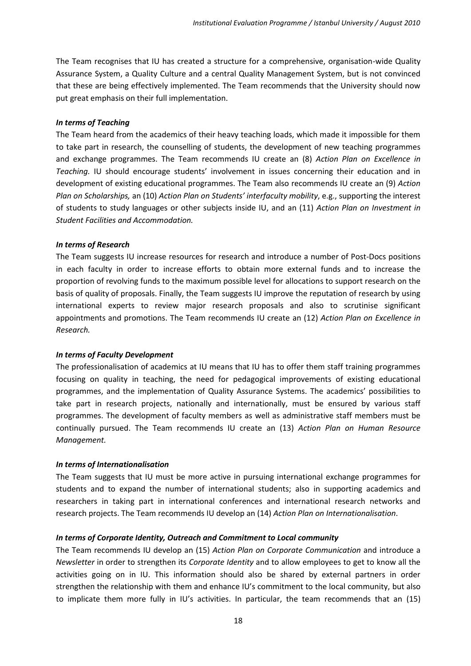The Team recognises that IU has created a structure for a comprehensive, organisation-wide Quality Assurance System, a Quality Culture and a central Quality Management System, but is not convinced that these are being effectively implemented. The Team recommends that the University should now put great emphasis on their full implementation.

#### *In terms of Teaching*

The Team heard from the academics of their heavy teaching loads, which made it impossible for them to take part in research, the counselling of students, the development of new teaching programmes and exchange programmes. The Team recommends IU create an (8) *Action Plan on Excellence in Teaching.* IU should encourage students' involvement in issues concerning their education and in development of existing educational programmes. The Team also recommends IU create an (9) *Action Plan on Scholarships,* an (10) *Action Plan on Students' interfaculty mobility*, e.g., supporting the interest of students to study languages or other subjects inside IU, and an (11) *Action Plan on Investment in Student Facilities and Accommodation.*

#### *In terms of Research*

The Team suggests IU increase resources for research and introduce a number of Post-Docs positions in each faculty in order to increase efforts to obtain more external funds and to increase the proportion of revolving funds to the maximum possible level for allocations to support research on the basis of quality of proposals. Finally, the Team suggests IU improve the reputation of research by using international experts to review major research proposals and also to scrutinise significant appointments and promotions. The Team recommends IU create an (12) *Action Plan on Excellence in Research.*

## *In terms of Faculty Development*

The professionalisation of academics at IU means that IU has to offer them staff training programmes focusing on quality in teaching, the need for pedagogical improvements of existing educational programmes, and the implementation of Quality Assurance Systems. The academics' possibilities to take part in research projects, nationally and internationally, must be ensured by various staff programmes. The development of faculty members as well as administrative staff members must be continually pursued. The Team recommends IU create an (13) *Action Plan on Human Resource Management.*

#### *In terms of Internationalisation*

The Team suggests that IU must be more active in pursuing international exchange programmes for students and to expand the number of international students; also in supporting academics and researchers in taking part in international conferences and international research networks and research projects. The Team recommends IU develop an (14) *Action Plan on Internationalisation*.

## *In terms of Corporate Identity, Outreach and Commitment to Local community*

The Team recommends IU develop an (15) *Action Plan on Corporate Communication* and introduce a *Newsletter* in order to strengthen its *Corporate Identity* and to allow employees to get to know all the activities going on in IU. This information should also be shared by external partners in order strengthen the relationship with them and enhance IU's commitment to the local community, but also to implicate them more fully in IU's activities. In particular, the team recommends that an (15)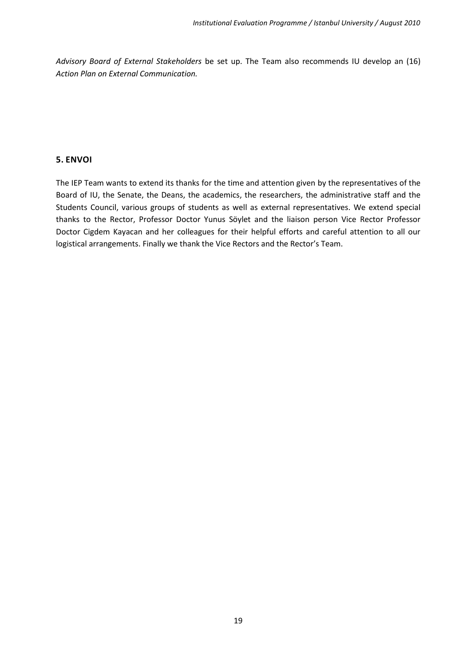*Advisory Board of External Stakeholders* be set up. The Team also recommends IU develop an (16) *Action Plan on External Communication.*

## <span id="page-18-0"></span>**5. ENVOI**

The IEP Team wants to extend its thanks for the time and attention given by the representatives of the Board of IU, the Senate, the Deans, the academics, the researchers, the administrative staff and the Students Council, various groups of students as well as external representatives. We extend special thanks to the Rector, Professor Doctor Yunus Söylet and the liaison person Vice Rector Professor Doctor Cigdem Kayacan and her colleagues for their helpful efforts and careful attention to all our logistical arrangements. Finally we thank the Vice Rectors and the Rector's Team.